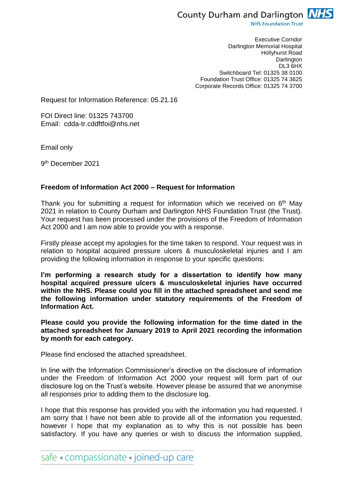

**NHS Foundation Trust** 

Executive Corridor Darlington Memorial Hospital Hollyhurst Road **Darlington** DL3 6HX Switchboard Tel: 01325 38 0100 Foundation Trust Office: 01325 74 3625 Corporate Records Office: 01325 74 3700

Request for Information Reference: 05.21.16

FOI Direct line: 01325 743700 Email: cdda-tr.cddftfoi@nhs.net

Email only

9 th December 2021

## **Freedom of Information Act 2000 – Request for Information**

Thank you for submitting a request for information which we received on 6<sup>th</sup> May 2021 in relation to County Durham and Darlington NHS Foundation Trust (the Trust). Your request has been processed under the provisions of the Freedom of Information Act 2000 and I am now able to provide you with a response.

Firstly please accept my apologies for the time taken to respond. Your request was in relation to hospital acquired pressure ulcers & musculoskeletal injuries and I am providing the following information in response to your specific questions:

**I'm performing a research study for a dissertation to identify how many hospital acquired pressure ulcers & musculoskeletal injuries have occurred within the NHS. Please could you fill in the attached spreadsheet and send me the following information under statutory requirements of the Freedom of Information Act.**

**Please could you provide the following information for the time dated in the attached spreadsheet for January 2019 to April 2021 recording the information by month for each category.**

Please find enclosed the attached spreadsheet.

In line with the Information Commissioner's directive on the disclosure of information under the Freedom of Information Act 2000 your request will form part of our disclosure log on the Trust's website. However please be assured that we anonymise all responses prior to adding them to the disclosure log.

I hope that this response has provided you with the information you had requested. I am sorry that I have not been able to provide all of the information you requested, however I hope that my explanation as to why this is not possible has been satisfactory. If you have any queries or wish to discuss the information supplied,